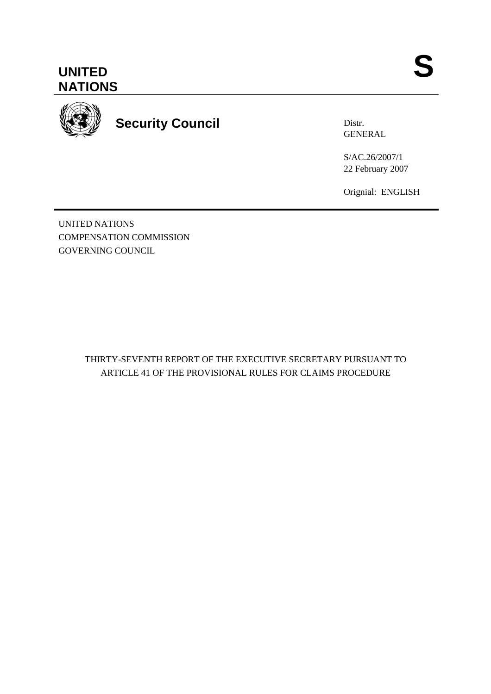



**Security Council** 

Distr. GENERAL

S/AC.26/2007/1 22 February 2007

Orignial: ENGLISH

UNITED NATIONS COMPENSATION COMMISSION GOVERNING COUNCIL

> THIRTY-SEVENTH REPORT OF THE EXECUTIVE SECRETARY PURSUANT TO ARTICLE 41 OF THE PROVISIONAL RULES FOR CLAIMS PROCEDURE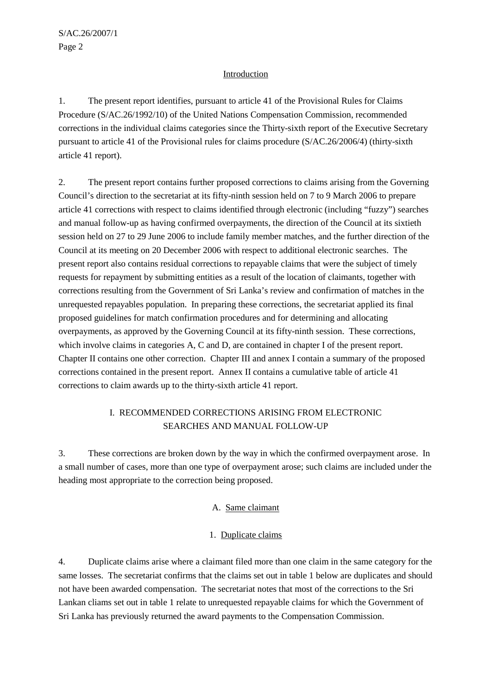# Introduction

1. The present report identifies, pursuant to article 41 of the Provisional Rules for Claims Procedure (S/AC.26/1992/10) of the United Nations Compensation Commission, recommended corrections in the individual claims categories since the Thirty-sixth report of the Executive Secretary pursuant to article 41 of the Provisional rules for claims procedure (S/AC.26/2006/4) (thirty-sixth article 41 report).

2. The present report contains further proposed corrections to claims arising from the Governing Council's direction to the secretariat at its fifty-ninth session held on 7 to 9 March 2006 to prepare article 41 corrections with respect to claims identified through electronic (including "fuzzy") searches and manual follow-up as having confirmed overpayments, the direction of the Council at its sixtieth session held on 27 to 29 June 2006 to include family member matches, and the further direction of the Council at its meeting on 20 December 2006 with respect to additional electronic searches. The present report also contains residual corrections to repayable claims that were the subject of timely requests for repayment by submitting entities as a result of the location of claimants, together with corrections resulting from the Government of Sri Lanka's review and confirmation of matches in the unrequested repayables population. In preparing these corrections, the secretariat applied its final proposed guidelines for match confirmation procedures and for determining and allocating overpayments, as approved by the Governing Council at its fifty-ninth session. These corrections, which involve claims in categories A, C and D, are contained in chapter I of the present report. Chapter II contains one other correction. Chapter III and annex I contain a summary of the proposed corrections contained in the present report. Annex II contains a cumulative table of article 41 corrections to claim awards up to the thirty-sixth article 41 report.

# I. RECOMMENDED CORRECTIONS ARISING FROM ELECTRONIC SEARCHES AND MANUAL FOLLOW-UP

3. These corrections are broken down by the way in which the confirmed overpayment arose. In a small number of cases, more than one type of overpayment arose; such claims are included under the heading most appropriate to the correction being proposed.

# A. Same claimant

### 1. Duplicate claims

4. Duplicate claims arise where a claimant filed more than one claim in the same category for the same losses. The secretariat confirms that the claims set out in table 1 below are duplicates and should not have been awarded compensation. The secretariat notes that most of the corrections to the Sri Lankan cliams set out in table 1 relate to unrequested repayable claims for which the Government of Sri Lanka has previously returned the award payments to the Compensation Commission.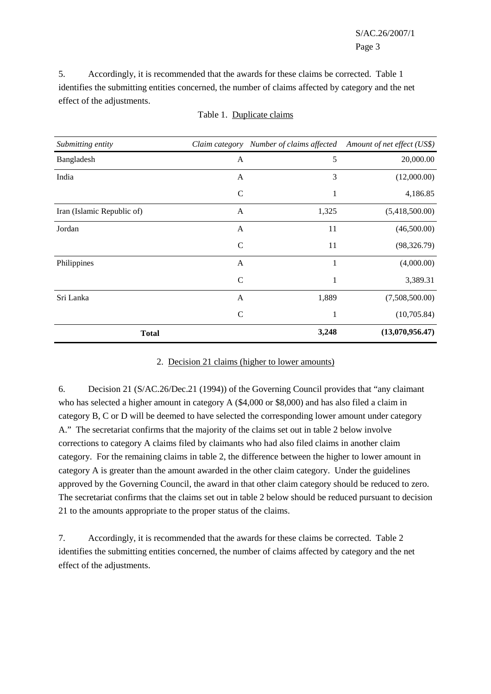5. Accordingly, it is recommended that the awards for these claims be corrected. Table 1 identifies the submitting entities concerned, the number of claims affected by category and the net effect of the adjustments.

| Submitting entity          | Claim category | Number of claims affected | Amount of net effect (US\$) |
|----------------------------|----------------|---------------------------|-----------------------------|
| Bangladesh                 | A              | 5                         | 20,000.00                   |
| India                      | A              | 3                         | (12,000.00)                 |
|                            | $\mathbf C$    | 1                         | 4,186.85                    |
| Iran (Islamic Republic of) | $\mathbf{A}$   | 1,325                     | (5,418,500.00)              |
| Jordan                     | A              | 11                        | (46,500.00)                 |
|                            | $\mathsf{C}$   | 11                        | (98, 326.79)                |
| Philippines                | $\mathbf{A}$   | 1                         | (4,000.00)                  |
|                            | $\mathsf{C}$   | 1                         | 3,389.31                    |
| Sri Lanka                  | $\mathbf{A}$   | 1,889                     | (7,508,500.00)              |
|                            | $\mathsf{C}$   | $\mathbf{1}$              | (10,705.84)                 |
| <b>Total</b>               |                | 3,248                     | (13,070,956.47)             |

#### Table 1. Duplicate claims

#### 2. Decision 21 claims (higher to lower amounts)

6. Decision 21 (S/AC.26/Dec.21 (1994)) of the Governing Council provides that "any claimant who has selected a higher amount in category A (\$4,000 or \$8,000) and has also filed a claim in category B, C or D will be deemed to have selected the corresponding lower amount under category A." The secretariat confirms that the majority of the claims set out in table 2 below involve corrections to category A claims filed by claimants who had also filed claims in another claim category. For the remaining claims in table 2, the difference between the higher to lower amount in category A is greater than the amount awarded in the other claim category. Under the guidelines approved by the Governing Council, the award in that other claim category should be reduced to zero. The secretariat confirms that the claims set out in table 2 below should be reduced pursuant to decision 21 to the amounts appropriate to the proper status of the claims.

7. Accordingly, it is recommended that the awards for these claims be corrected. Table 2 identifies the submitting entities concerned, the number of claims affected by category and the net effect of the adjustments.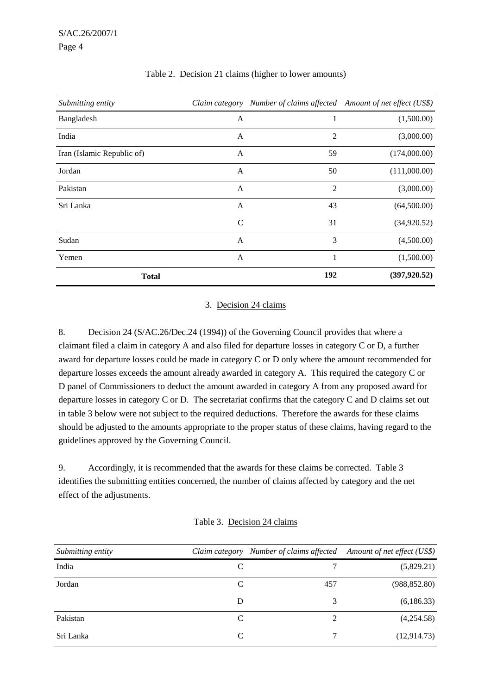| Submitting entity          | Claim category |                | Number of claims affected Amount of net effect (US\$) |
|----------------------------|----------------|----------------|-------------------------------------------------------|
| Bangladesh                 | A              | 1              | (1,500.00)                                            |
| India                      | A              | $\overline{2}$ | (3,000.00)                                            |
| Iran (Islamic Republic of) | A              | 59             | (174,000.00)                                          |
| Jordan                     | A              | 50             | (111,000.00)                                          |
| Pakistan                   | A              | 2              | (3,000.00)                                            |
| Sri Lanka                  | A              | 43             | (64,500.00)                                           |
|                            | $\mathsf{C}$   | 31             | (34,920.52)                                           |
| Sudan                      | $\mathbf{A}$   | 3              | (4,500.00)                                            |
| Yemen                      | A              | 1              | (1,500.00)                                            |
| <b>Total</b>               |                | 192            | (397, 920.52)                                         |

# Table 2. Decision 21 claims (higher to lower amounts)

#### 3. Decision 24 claims

8. Decision 24 (S/AC.26/Dec.24 (1994)) of the Governing Council provides that where a claimant filed a claim in category A and also filed for departure losses in category C or D, a further award for departure losses could be made in category C or D only where the amount recommended for departure losses exceeds the amount already awarded in category A. This required the category C or D panel of Commissioners to deduct the amount awarded in category A from any proposed award for departure losses in category C or D. The secretariat confirms that the category C and D claims set out in table 3 below were not subject to the required deductions. Therefore the awards for these claims should be adjusted to the amounts appropriate to the proper status of these claims, having regard to the guidelines approved by the Governing Council.

9. Accordingly, it is recommended that the awards for these claims be corrected. Table 3 identifies the submitting entities concerned, the number of claims affected by category and the net effect of the adjustments.

| Submitting entity | Claim category |     | Number of claims affected Amount of net effect (US\$) |
|-------------------|----------------|-----|-------------------------------------------------------|
| India             | C              |     | (5,829.21)                                            |
| Jordan            | C              | 457 | (988, 852.80)                                         |
|                   | D              | 3   | (6,186.33)                                            |
| Pakistan          | C              | 2   | (4,254.58)                                            |
| Sri Lanka         |                |     | (12, 914.73)                                          |

#### Table 3. Decision 24 claims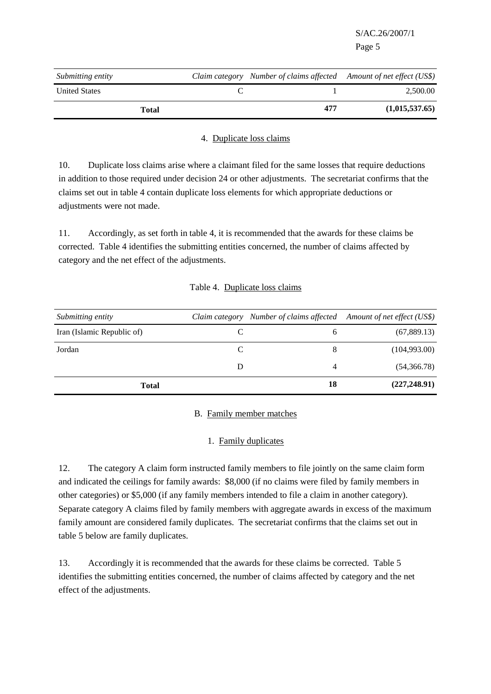| Submitting entity    | Claim category Number of claims affected Amount of net effect (US\$) |                |
|----------------------|----------------------------------------------------------------------|----------------|
| <b>United States</b> |                                                                      | 2.500.00       |
| <b>Total</b>         | 477                                                                  | (1,015,537,65) |

# 4. Duplicate loss claims

10. Duplicate loss claims arise where a claimant filed for the same losses that require deductions in addition to those required under decision 24 or other adjustments. The secretariat confirms that the claims set out in table 4 contain duplicate loss elements for which appropriate deductions or adjustments were not made.

11. Accordingly, as set forth in table 4, it is recommended that the awards for these claims be corrected. Table 4 identifies the submitting entities concerned, the number of claims affected by category and the net effect of the adjustments.

# Table 4. Duplicate loss claims

| Submitting entity          |   | Claim category Number of claims affected Amount of net effect (US\$) |               |
|----------------------------|---|----------------------------------------------------------------------|---------------|
| Iran (Islamic Republic of) |   | <sub>0</sub>                                                         | (67,889.13)   |
| Jordan                     | C | 8                                                                    | (104,993.00)  |
|                            | D | 4                                                                    | (54,366.78)   |
| <b>Total</b>               |   | 18                                                                   | (227, 248.91) |

### B. Family member matches

# 1. Family duplicates

12. The category A claim form instructed family members to file jointly on the same claim form and indicated the ceilings for family awards: \$8,000 (if no claims were filed by family members in other categories) or \$5,000 (if any family members intended to file a claim in another category). Separate category A claims filed by family members with aggregate awards in excess of the maximum family amount are considered family duplicates. The secretariat confirms that the claims set out in table 5 below are family duplicates.

13. Accordingly it is recommended that the awards for these claims be corrected. Table 5 identifies the submitting entities concerned, the number of claims affected by category and the net effect of the adjustments.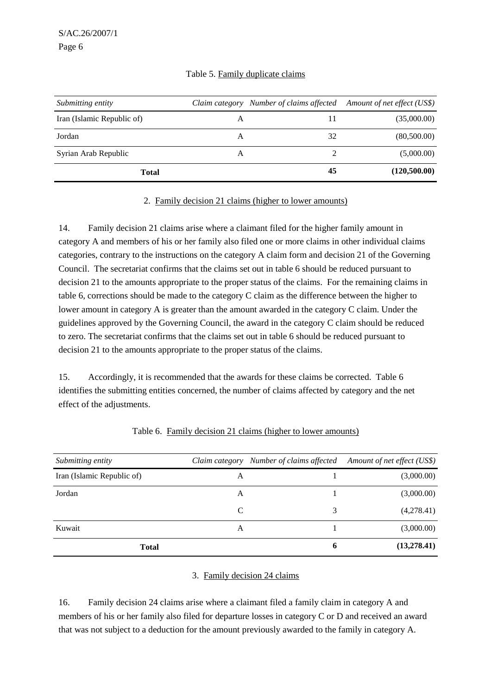|  | Table 5. Family duplicate claims |  |
|--|----------------------------------|--|
|  |                                  |  |

| Submitting entity          |   |    | Claim category Number of claims affected Amount of net effect (US\$) |
|----------------------------|---|----|----------------------------------------------------------------------|
| Iran (Islamic Republic of) | A | 11 | (35,000.00)                                                          |
| Jordan                     | A | 32 | (80,500.00)                                                          |
| Syrian Arab Republic       | A |    | (5,000.00)                                                           |
| <b>Total</b>               |   | 45 | (120,500.00)                                                         |

#### 2. Family decision 21 claims (higher to lower amounts)

14. Family decision 21 claims arise where a claimant filed for the higher family amount in category A and members of his or her family also filed one or more claims in other individual claims categories, contrary to the instructions on the category A claim form and decision 21 of the Governing Council. The secretariat confirms that the claims set out in table 6 should be reduced pursuant to decision 21 to the amounts appropriate to the proper status of the claims. For the remaining claims in table 6, corrections should be made to the category C claim as the difference between the higher to lower amount in category A is greater than the amount awarded in the category C claim. Under the guidelines approved by the Governing Council, the award in the category C claim should be reduced to zero. The secretariat confirms that the claims set out in table 6 should be reduced pursuant to decision 21 to the amounts appropriate to the proper status of the claims.

15. Accordingly, it is recommended that the awards for these claims be corrected. Table 6 identifies the submitting entities concerned, the number of claims affected by category and the net effect of the adjustments.

| Submitting entity          |   | Claim category Number of claims affected Amount of net effect (US\$) |             |
|----------------------------|---|----------------------------------------------------------------------|-------------|
| Iran (Islamic Republic of) | A |                                                                      | (3,000.00)  |
| Jordan                     | A |                                                                      | (3,000.00)  |
|                            | C | 3                                                                    | (4,278.41)  |
| Kuwait                     | A |                                                                      | (3,000.00)  |
| <b>Total</b>               |   | 6                                                                    | (13,278.41) |

#### Table 6. Family decision 21 claims (higher to lower amounts)

#### 3. Family decision 24 claims

16. Family decision 24 claims arise where a claimant filed a family claim in category A and members of his or her family also filed for departure losses in category C or D and received an award that was not subject to a deduction for the amount previously awarded to the family in category A.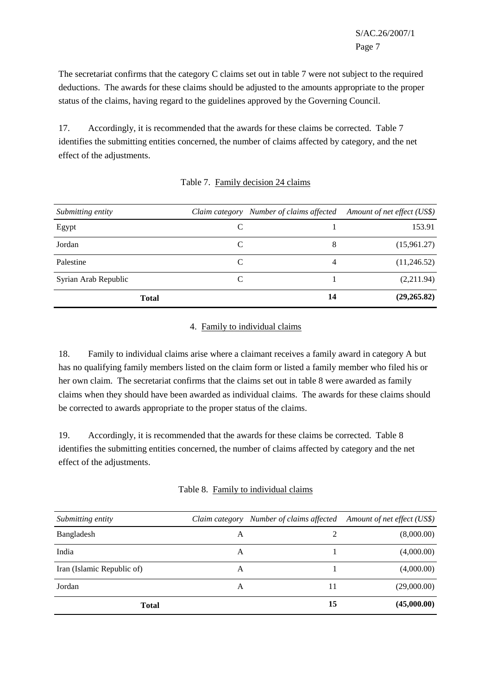The secretariat confirms that the category C claims set out in table 7 were not subject to the required deductions. The awards for these claims should be adjusted to the amounts appropriate to the proper status of the claims, having regard to the guidelines approved by the Governing Council.

17. Accordingly, it is recommended that the awards for these claims be corrected. Table 7 identifies the submitting entities concerned, the number of claims affected by category, and the net effect of the adjustments.

| Submitting entity    |   | Claim category Number of claims affected | Amount of net effect (US\$) |
|----------------------|---|------------------------------------------|-----------------------------|
| Egypt                | C |                                          | 153.91                      |
| Jordan               | C | 8                                        | (15,961.27)                 |
| Palestine            | C | 4                                        | (11,246.52)                 |
| Syrian Arab Republic | C |                                          | (2,211.94)                  |
| <b>Total</b>         |   | 14                                       | (29, 265.82)                |

### Table 7. Family decision 24 claims

# 4. Family to individual claims

18. Family to individual claims arise where a claimant receives a family award in category A but has no qualifying family members listed on the claim form or listed a family member who filed his or her own claim. The secretariat confirms that the claims set out in table 8 were awarded as family claims when they should have been awarded as individual claims. The awards for these claims should be corrected to awards appropriate to the proper status of the claims.

19. Accordingly, it is recommended that the awards for these claims be corrected. Table 8 identifies the submitting entities concerned, the number of claims affected by category and the net effect of the adjustments.

| Submitting entity          | Claim category | Number of claims affected Amount of net effect (US\$) |             |
|----------------------------|----------------|-------------------------------------------------------|-------------|
| Bangladesh                 | A              | $\mathcal{D}_{\mathcal{L}}$                           | (8,000.00)  |
| India                      | A              |                                                       | (4,000.00)  |
| Iran (Islamic Republic of) | A              |                                                       | (4,000.00)  |
| Jordan                     | A              | 11                                                    | (29,000.00) |
| <b>Total</b>               |                | 15                                                    | (45,000.00) |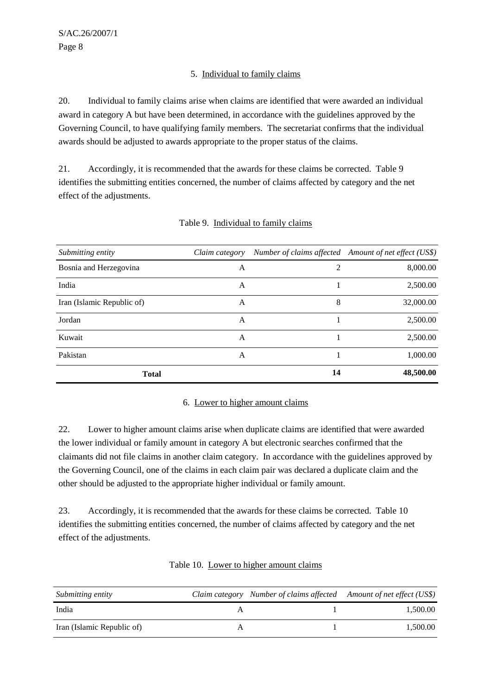# 5. Individual to family claims

20. Individual to family claims arise when claims are identified that were awarded an individual award in category A but have been determined, in accordance with the guidelines approved by the Governing Council, to have qualifying family members. The secretariat confirms that the individual awards should be adjusted to awards appropriate to the proper status of the claims.

21. Accordingly, it is recommended that the awards for these claims be corrected. Table 9 identifies the submitting entities concerned, the number of claims affected by category and the net effect of the adjustments.

| Submitting entity          | Claim category |    | Number of claims affected Amount of net effect (US\$) |
|----------------------------|----------------|----|-------------------------------------------------------|
| Bosnia and Herzegovina     | A              | 2  | 8,000.00                                              |
| India                      | A              |    | 2,500.00                                              |
| Iran (Islamic Republic of) | A              | 8  | 32,000.00                                             |
| Jordan                     | A              |    | 2,500.00                                              |
| Kuwait                     | A              |    | 2,500.00                                              |
| Pakistan                   | A              |    | 1,000.00                                              |
| <b>Total</b>               |                | 14 | 48,500.00                                             |

### Table 9. Individual to family claims

### 6. Lower to higher amount claims

22. Lower to higher amount claims arise when duplicate claims are identified that were awarded the lower individual or family amount in category A but electronic searches confirmed that the claimants did not file claims in another claim category. In accordance with the guidelines approved by the Governing Council, one of the claims in each claim pair was declared a duplicate claim and the other should be adjusted to the appropriate higher individual or family amount.

23. Accordingly, it is recommended that the awards for these claims be corrected. Table 10 identifies the submitting entities concerned, the number of claims affected by category and the net effect of the adjustments.

| <i>Submitting entity</i>   | Claim category Number of claims affected Amount of net effect (US\$) |          |
|----------------------------|----------------------------------------------------------------------|----------|
| India                      |                                                                      | 1.500.00 |
| Iran (Islamic Republic of) |                                                                      | 1.500.00 |

| Table 10. Lower to higher amount claims |  |  |
|-----------------------------------------|--|--|
|                                         |  |  |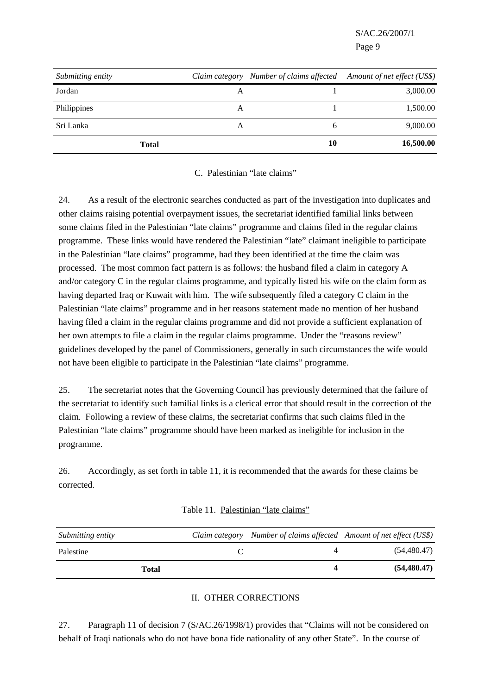| Submitting entity |   |              | Claim category Number of claims affected Amount of net effect (US\$) |
|-------------------|---|--------------|----------------------------------------------------------------------|
| Jordan            | А |              | 3,000.00                                                             |
| Philippines       | A |              | 1,500.00                                                             |
| Sri Lanka         | A | <sub>6</sub> | 9,000.00                                                             |
| Total             |   | 10           | 16,500.00                                                            |

#### C. Palestinian "late claims"

24. As a result of the electronic searches conducted as part of the investigation into duplicates and other claims raising potential overpayment issues, the secretariat identified familial links between some claims filed in the Palestinian "late claims" programme and claims filed in the regular claims programme. These links would have rendered the Palestinian "late" claimant ineligible to participate in the Palestinian "late claims" programme, had they been identified at the time the claim was processed. The most common fact pattern is as follows: the husband filed a claim in category A and/or category C in the regular claims programme, and typically listed his wife on the claim form as having departed Iraq or Kuwait with him. The wife subsequently filed a category C claim in the Palestinian "late claims" programme and in her reasons statement made no mention of her husband having filed a claim in the regular claims programme and did not provide a sufficient explanation of her own attempts to file a claim in the regular claims programme. Under the "reasons review" guidelines developed by the panel of Commissioners, generally in such circumstances the wife would not have been eligible to participate in the Palestinian "late claims" programme.

25. The secretariat notes that the Governing Council has previously determined that the failure of the secretariat to identify such familial links is a clerical error that should result in the correction of the claim. Following a review of these claims, the secretariat confirms that such claims filed in the Palestinian "late claims" programme should have been marked as ineligible for inclusion in the programme.

26. Accordingly, as set forth in table 11, it is recommended that the awards for these claims be corrected.

| Submitting entity | Claim category Number of claims affected Amount of net effect (US\$) |               |
|-------------------|----------------------------------------------------------------------|---------------|
| Palestine         |                                                                      | (54, 480.47)  |
| Total             |                                                                      | (54, 480, 47) |

Table 11. Palestinian "late claims"

#### II. OTHER CORRECTIONS

27. Paragraph 11 of decision 7 (S/AC.26/1998/1) provides that "Claims will not be considered on behalf of Iraqi nationals who do not have bona fide nationality of any other State". In the course of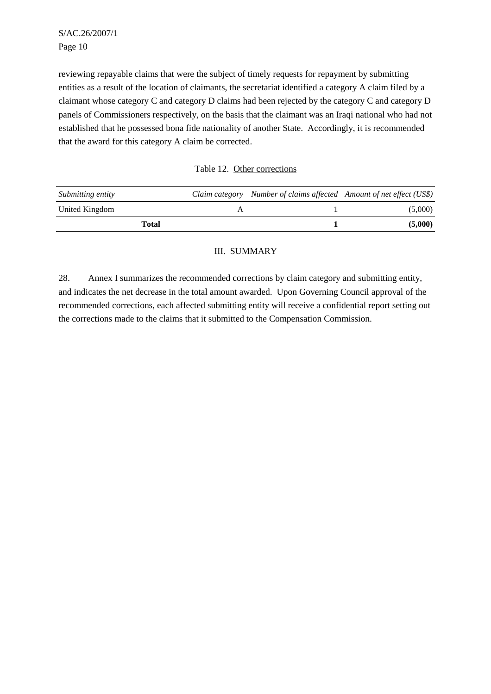reviewing repayable claims that were the subject of timely requests for repayment by submitting entities as a result of the location of claimants, the secretariat identified a category A claim filed by a claimant whose category C and category D claims had been rejected by the category C and category D panels of Commissioners respectively, on the basis that the claimant was an Iraqi national who had not established that he possessed bona fide nationality of another State. Accordingly, it is recommended that the award for this category A claim be corrected.

| Table 12. Other corrections |
|-----------------------------|
|                             |

| Submitting entity | Claim category Number of claims affected Amount of net effect (US\$) |         |
|-------------------|----------------------------------------------------------------------|---------|
| United Kingdom    |                                                                      | (5,000) |
| Total             |                                                                      | (5,000) |

# III. SUMMARY

28. Annex I summarizes the recommended corrections by claim category and submitting entity, and indicates the net decrease in the total amount awarded. Upon Governing Council approval of the recommended corrections, each affected submitting entity will receive a confidential report setting out the corrections made to the claims that it submitted to the Compensation Commission.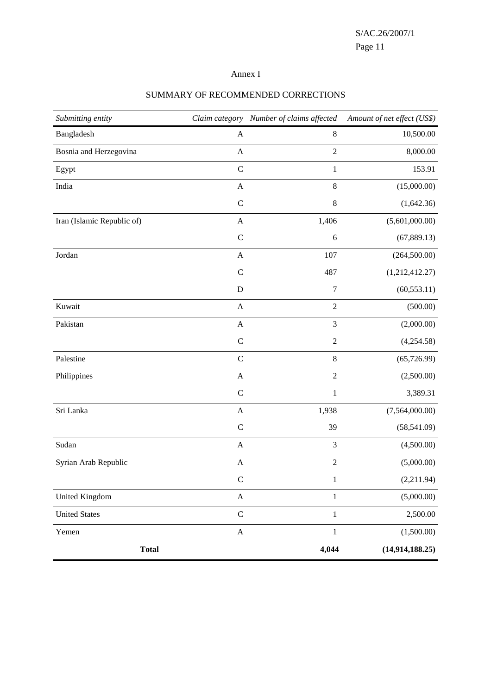# Annex I

| Submitting entity          |                  | Claim category Number of claims affected | Amount of net effect (US\$) |
|----------------------------|------------------|------------------------------------------|-----------------------------|
| Bangladesh                 | $\mathbf{A}$     | $\,8\,$                                  | 10,500.00                   |
| Bosnia and Herzegovina     | $\mathbf{A}$     | $\overline{2}$                           | 8,000.00                    |
| Egypt                      | $\mathbf C$      | $\mathbf{1}$                             | 153.91                      |
| India                      | $\boldsymbol{A}$ | $\,8\,$                                  | (15,000.00)                 |
|                            | $\mathcal{C}$    | $\,8\,$                                  | (1,642.36)                  |
| Iran (Islamic Republic of) | $\mathbf{A}$     | 1,406                                    | (5,601,000.00)              |
|                            | $\mathcal{C}$    | 6                                        | (67, 889.13)                |
| Jordan                     | $\mathbf{A}$     | 107                                      | (264, 500.00)               |
|                            | $\mathcal{C}$    | 487                                      | (1,212,412.27)              |
|                            | $\mathbf D$      | $\boldsymbol{7}$                         | (60, 553.11)                |
| Kuwait                     | A                | $\sqrt{2}$                               | (500.00)                    |
| Pakistan                   | $\boldsymbol{A}$ | $\mathfrak{Z}$                           | (2,000.00)                  |
|                            | $\mathbf C$      | $\overline{2}$                           | (4,254.58)                  |
| Palestine                  | $\mathsf C$      | $\,8\,$                                  | (65, 726.99)                |
| Philippines                | $\mathbf{A}$     | $\sqrt{2}$                               | (2,500.00)                  |
|                            | $\mathcal{C}$    | $\mathbf{1}$                             | 3,389.31                    |
| Sri Lanka                  | $\mathbf{A}$     | 1,938                                    | (7,564,000.00)              |
|                            | $\mathsf{C}$     | 39                                       | (58, 541.09)                |
| Sudan                      | $\mathbf{A}$     | $\mathfrak{Z}$                           | (4,500.00)                  |
| Syrian Arab Republic       | $\mathbf{A}$     | $\overline{c}$                           | (5,000.00)                  |
|                            | $\mathbf C$      | 1                                        | (2,211.94)                  |
| <b>United Kingdom</b>      | $\mathbf A$      | $\,1\,$                                  | (5,000.00)                  |
| <b>United States</b>       | $\mathsf{C}$     | $\mathbf{1}$                             | 2,500.00                    |
| Yemen                      | $\mathbf A$      | $\,1\,$                                  | (1,500.00)                  |
| <b>Total</b>               |                  | 4,044                                    | (14, 914, 188.25)           |

### SUMMARY OF RECOMMENDED CORRECTIONS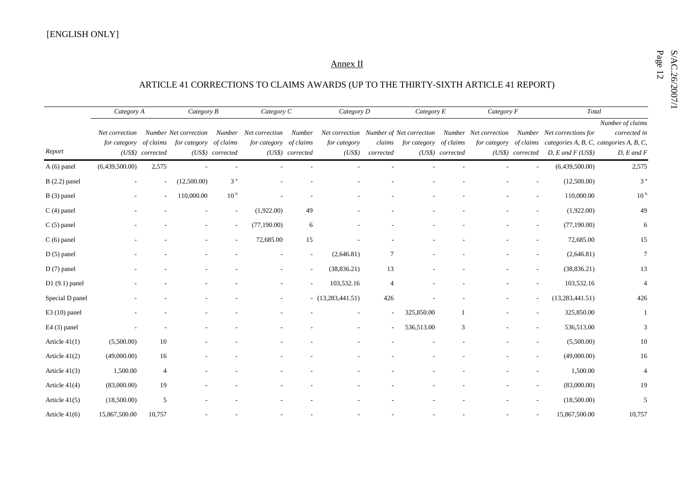# $\underbrace{\text{Annez II}}_{\text{ARTICLE 41 CORRECTIONS\ TO\ CLAIMS\ AWARDS\ (UP\ TO\ THE\ THIRTY-SIXTH\ ARTICLE 41\ REPORT)}$

|                 | Category A     |                  | Category B                   |                  | Category C     |                  | Category D                              |                | Category E             |                  | Category F            |                  | $\operatorname{\mathcal{T}\!\mathit{otal}}$                    |                  |
|-----------------|----------------|------------------|------------------------------|------------------|----------------|------------------|-----------------------------------------|----------------|------------------------|------------------|-----------------------|------------------|----------------------------------------------------------------|------------------|
|                 |                |                  |                              |                  |                |                  |                                         |                |                        |                  |                       |                  |                                                                | Number of claims |
|                 | Net correction |                  | <b>Number Net correction</b> | Number           | Net correction | Number           | Net correction Number of Net correction |                |                        |                  | Number Net correction |                  | Number Net corrections for                                     | corrected in     |
|                 | for category   | of claims        | for category of claims       |                  | for category   | of claims        | for category                            | claims         | for category of claims |                  |                       |                  | for category of claims categories A, B, C, categories A, B, C, |                  |
| Report          |                | (US\$) corrected |                              | (US\$) corrected |                | (US\$) corrected | (US\$)                                  | corrected      |                        | (US\$) corrected |                       | (US\$) corrected | $D, E$ and $F$ (US\$)                                          | $D, E$ and $F$   |
| A (6) panel     | (6,439,500.00) | 2,575            |                              |                  |                |                  |                                         |                |                        |                  |                       |                  | (6,439,500.00)                                                 | 2,575            |
| $B(2.2)$ panel  |                | ÷.               | (12,500.00)                  | 3 <sup>a</sup>   |                |                  |                                         |                |                        |                  |                       |                  | (12,500.00)                                                    | 3 <sup>a</sup>   |
| B (3) panel     |                | $\sim$           | 110,000.00                   | 10 <sup>b</sup>  |                |                  |                                         |                |                        |                  |                       |                  | 110,000.00                                                     | 10 <sup>b</sup>  |
| $C(4)$ panel    |                |                  |                              |                  | (1,922.00)     | 49               |                                         |                |                        |                  |                       |                  | (1,922.00)                                                     | 49               |
| $C(5)$ panel    |                |                  |                              |                  | (77,190.00)    | 6                |                                         |                |                        |                  |                       |                  | (77,190.00)                                                    | 6                |
| $C(6)$ panel    |                |                  |                              |                  | 72,685.00      | 15               |                                         |                |                        |                  |                       |                  | 72,685.00                                                      | 15               |
| $D(5)$ panel    |                |                  |                              |                  |                |                  | (2,646.81)                              | 7              |                        |                  |                       |                  | (2,646.81)                                                     | $\tau$           |
| $D(7)$ panel    |                |                  |                              |                  |                |                  | (38, 836.21)                            | 13             |                        |                  |                       |                  | (38, 836.21)                                                   | 13               |
| $D1(9.1)$ panel |                |                  |                              |                  |                |                  | 103,532.16                              | $\overline{4}$ |                        |                  |                       |                  | 103,532.16                                                     | $\overline{4}$   |
| Special D panel |                |                  |                              |                  |                |                  | $-$ (13,283,441.51)                     | 426            |                        |                  |                       |                  | (13, 283, 441.51)                                              | 426              |
| $E3(10)$ panel  |                |                  |                              |                  |                |                  |                                         |                | 325,850.00             |                  |                       |                  | 325,850.00                                                     | -1               |
| $E4(3)$ panel   |                |                  |                              |                  |                |                  |                                         |                | 536,513.00             | 3                |                       |                  | 536,513.00                                                     | 3                |
| Article $41(1)$ | (5,500.00)     | 10               |                              |                  |                |                  |                                         |                |                        |                  |                       |                  | (5,500.00)                                                     | 10               |
| Article 41(2)   | (49,000.00)    | 16               |                              |                  |                |                  |                                         |                |                        |                  |                       |                  | (49,000.00)                                                    | 16               |
| Article $41(3)$ | 1,500.00       | 4                |                              |                  |                |                  |                                         |                |                        |                  |                       |                  | 1,500.00                                                       | $\overline{4}$   |
| Article 41(4)   | (83,000.00)    | 19               |                              |                  |                |                  |                                         |                |                        |                  |                       |                  | (83,000.00)                                                    | 19               |
| Article $41(5)$ | (18,500.00)    | 5                |                              |                  |                |                  |                                         |                |                        |                  |                       |                  | (18,500.00)                                                    | 5                |
| Article $41(6)$ | 15,867,500.00  | 10,757           |                              |                  |                |                  |                                         |                |                        |                  |                       |                  | 15,867,500.00                                                  | 10,757           |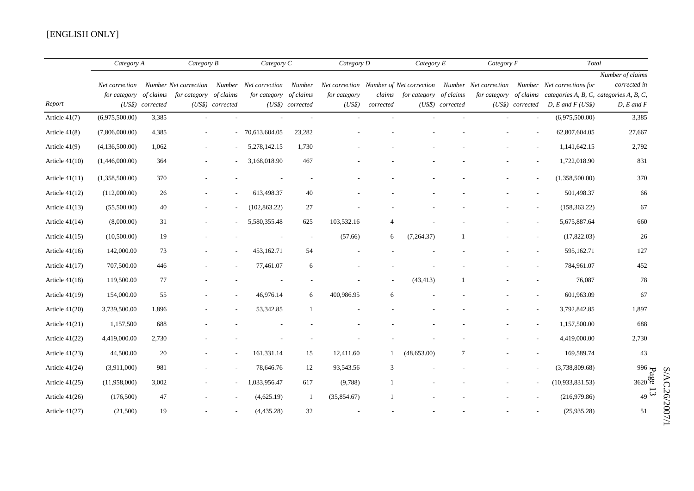### [ENGLISH ONLY]

|                  | Category A                     |                  | Category B                       |                  | Category C             |                          | Category D             |                |                               | Category E       |  | Category F               |                                                                                                                                                                                                                                        | Total                                              |  |
|------------------|--------------------------------|------------------|----------------------------------|------------------|------------------------|--------------------------|------------------------|----------------|-------------------------------|------------------|--|--------------------------|----------------------------------------------------------------------------------------------------------------------------------------------------------------------------------------------------------------------------------------|----------------------------------------------------|--|
| Report           | Net correction<br>for category | (US\$) corrected | of claims for category of claims | (US\$) corrected | for category of claims | (US\$) corrected         | for category<br>(US\$) | corrected      | claims for category of claims | (US\$) corrected |  | (US\$) corrected         | Number Net correction Number Net correction Number Net correction Number of Net correction Number Net correction Number Net corrections for<br>for category of claims categories A, B, C, categories A, B, C,<br>$D, E$ and $F$ (US\$) | Number of claims<br>corrected in<br>$D, E$ and $F$ |  |
| Article 41(7)    | (6,975,500.00)                 | 3,385            |                                  |                  |                        | $\overline{a}$           |                        |                |                               |                  |  | $\sim$                   | (6,975,500.00)                                                                                                                                                                                                                         | 3,385                                              |  |
| Article $41(8)$  | (7,806,000.00)                 | 4,385            |                                  |                  | $-70,613,604.05$       | 23,282                   |                        |                |                               |                  |  |                          | 62,807,604.05                                                                                                                                                                                                                          | 27,667                                             |  |
| Article $41(9)$  | (4,136,500.00)                 | 1,062            |                                  |                  | 5,278,142.15           | 1,730                    |                        |                |                               |                  |  |                          | 1,141,642.15                                                                                                                                                                                                                           | 2,792                                              |  |
| Article $41(10)$ | (1,446,000.00)                 | 364              |                                  |                  | 3,168,018.90           | 467                      |                        |                |                               |                  |  |                          | 1,722,018.90                                                                                                                                                                                                                           | 831                                                |  |
| Article $41(11)$ | (1,358,500.00)                 | 370              |                                  |                  |                        |                          |                        |                |                               |                  |  |                          | (1,358,500.00)                                                                                                                                                                                                                         | 370                                                |  |
| Article $41(12)$ | (112,000.00)                   | 26               |                                  |                  | 613,498.37             | 40                       |                        |                |                               |                  |  |                          | 501,498.37                                                                                                                                                                                                                             | 66                                                 |  |
| Article $41(13)$ | (55,500.00)                    | 40               |                                  |                  | (102, 863.22)          | 27                       |                        |                |                               |                  |  |                          | (158, 363.22)                                                                                                                                                                                                                          | 67                                                 |  |
| Article $41(14)$ | (8,000.00)                     | 31               |                                  |                  | 5,580,355.48           | 625                      | 103,532.16             | $\overline{4}$ |                               |                  |  |                          | 5,675,887.64                                                                                                                                                                                                                           | 660                                                |  |
| Article $41(15)$ | (10,500.00)                    | 19               |                                  |                  |                        | $\overline{\phantom{a}}$ | (57.66)                | 6              | (7,264.37)                    |                  |  |                          | (17,822.03)                                                                                                                                                                                                                            | 26                                                 |  |
| Article $41(16)$ | 142,000.00                     | 73               |                                  |                  | 453,162.71             | 54                       |                        |                |                               |                  |  |                          | 595,162.71                                                                                                                                                                                                                             | 127                                                |  |
| Article $41(17)$ | 707,500.00                     | 446              |                                  |                  | 77,461.07              | 6                        |                        |                |                               |                  |  |                          | 784,961.07                                                                                                                                                                                                                             | 452                                                |  |
| Article $41(18)$ | 119,500.00                     | 77               |                                  |                  |                        |                          |                        | $\sim$         | (43, 413)                     |                  |  |                          | 76,087                                                                                                                                                                                                                                 | 78                                                 |  |
| Article $41(19)$ | 154,000.00                     | 55               |                                  |                  | 46,976.14              | 6                        | 400,986.95             | 6              |                               |                  |  |                          | 601,963.09                                                                                                                                                                                                                             | 67                                                 |  |
| Article $41(20)$ | 3,739,500.00                   | 1,896            |                                  |                  | 53,342.85              |                          |                        |                |                               |                  |  |                          | 3,792,842.85                                                                                                                                                                                                                           | 1,897                                              |  |
| Article $41(21)$ | 1,157,500                      | 688              |                                  |                  |                        |                          |                        |                |                               |                  |  | $\overline{\phantom{a}}$ | 1,157,500.00                                                                                                                                                                                                                           | 688                                                |  |
| Article $41(22)$ | 4,419,000.00                   | 2,730            |                                  |                  |                        |                          |                        |                |                               |                  |  |                          | 4,419,000.00                                                                                                                                                                                                                           | 2,730                                              |  |
| Article $41(23)$ | 44,500.00                      | 20               |                                  |                  | 161,331.14             | 15                       | 12,411.60              | $\mathbf{1}$   | (48, 653.00)                  | 7                |  |                          | 169,589.74                                                                                                                                                                                                                             | 43                                                 |  |
| Article $41(24)$ | (3,911,000)                    | 981              |                                  |                  | 78,646.76              | 12                       | 93,543.56              | 3              |                               |                  |  | $\overline{\phantom{a}}$ | (3,738,809.68)                                                                                                                                                                                                                         | $996 -$                                            |  |
| Article $41(25)$ | (11,958,000)                   | 3,002            |                                  |                  | 1,033,956.47           | 617                      | (9,788)                |                |                               |                  |  | $\sim$                   | (10,933,831.53)                                                                                                                                                                                                                        | $3620\frac{6}{9}$                                  |  |
| Article $41(26)$ | (176,500)                      | 47               |                                  |                  | (4,625.19)             | -1                       | (35,854.67)            |                |                               |                  |  |                          | (216,979.86)                                                                                                                                                                                                                           | 49                                                 |  |
| Article $41(27)$ | (21,500)                       | 19               |                                  |                  | (4,435.28)             | 32                       |                        |                |                               |                  |  |                          | (25,935.28)                                                                                                                                                                                                                            | 51                                                 |  |